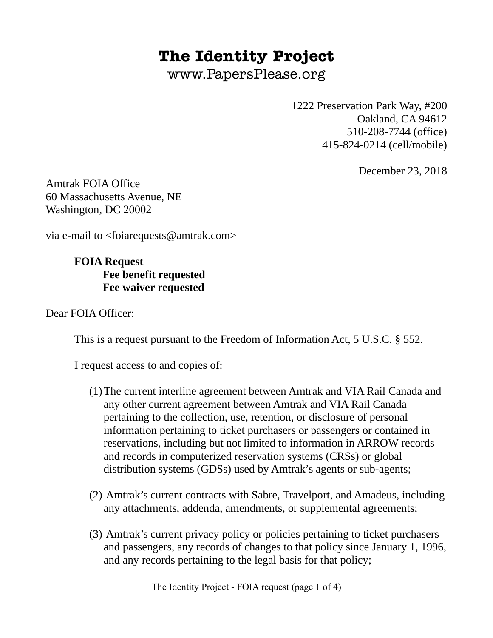## **The Identity Project**

www.PapersPlease.org

1222 Preservation Park Way, #200 Oakland, CA 94612 510-208-7744 (office) 415-824-0214 (cell/mobile)

December 23, 2018

Amtrak FOIA Office 60 Massachusetts Avenue, NE Washington, DC 20002

via e-mail to  $\leq$ foiarequests@amtrak.com>

**FOIA Request Fee benefit requested Fee waiver requested**

Dear FOIA Officer:

This is a request pursuant to the Freedom of Information Act, 5 U.S.C. § 552.

I request access to and copies of:

- (1)The current interline agreement between Amtrak and VIA Rail Canada and any other current agreement between Amtrak and VIA Rail Canada pertaining to the collection, use, retention, or disclosure of personal information pertaining to ticket purchasers or passengers or contained in reservations, including but not limited to information in ARROW records and records in computerized reservation systems (CRSs) or global distribution systems (GDSs) used by Amtrak's agents or sub-agents;
- (2) Amtrak's current contracts with Sabre, Travelport, and Amadeus, including any attachments, addenda, amendments, or supplemental agreements;
- (3) Amtrak's current privacy policy or policies pertaining to ticket purchasers and passengers, any records of changes to that policy since January 1, 1996, and any records pertaining to the legal basis for that policy;

The Identity Project - FOIA request (page 1 of 4)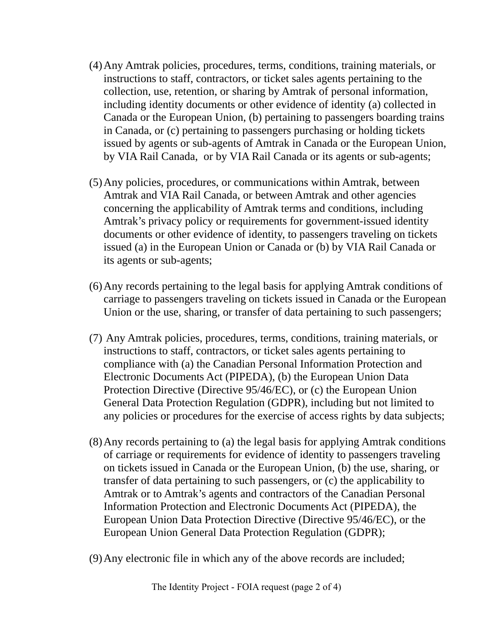- (4)Any Amtrak policies, procedures, terms, conditions, training materials, or instructions to staff, contractors, or ticket sales agents pertaining to the collection, use, retention, or sharing by Amtrak of personal information, including identity documents or other evidence of identity (a) collected in Canada or the European Union, (b) pertaining to passengers boarding trains in Canada, or (c) pertaining to passengers purchasing or holding tickets issued by agents or sub-agents of Amtrak in Canada or the European Union, by VIA Rail Canada, or by VIA Rail Canada or its agents or sub-agents;
- (5)Any policies, procedures, or communications within Amtrak, between Amtrak and VIA Rail Canada, or between Amtrak and other agencies concerning the applicability of Amtrak terms and conditions, including Amtrak's privacy policy or requirements for government-issued identity documents or other evidence of identity, to passengers traveling on tickets issued (a) in the European Union or Canada or (b) by VIA Rail Canada or its agents or sub-agents;
- (6)Any records pertaining to the legal basis for applying Amtrak conditions of carriage to passengers traveling on tickets issued in Canada or the European Union or the use, sharing, or transfer of data pertaining to such passengers;
- (7) Any Amtrak policies, procedures, terms, conditions, training materials, or instructions to staff, contractors, or ticket sales agents pertaining to compliance with (a) the Canadian Personal Information Protection and Electronic Documents Act (PIPEDA), (b) the European Union Data Protection Directive (Directive 95/46/EC), or (c) the European Union General Data Protection Regulation (GDPR), including but not limited to any policies or procedures for the exercise of access rights by data subjects;
- (8)Any records pertaining to (a) the legal basis for applying Amtrak conditions of carriage or requirements for evidence of identity to passengers traveling on tickets issued in Canada or the European Union, (b) the use, sharing, or transfer of data pertaining to such passengers, or (c) the applicability to Amtrak or to Amtrak's agents and contractors of the Canadian Personal Information Protection and Electronic Documents Act (PIPEDA), the European Union Data Protection Directive (Directive 95/46/EC), or the European Union General Data Protection Regulation (GDPR);
- (9)Any electronic file in which any of the above records are included;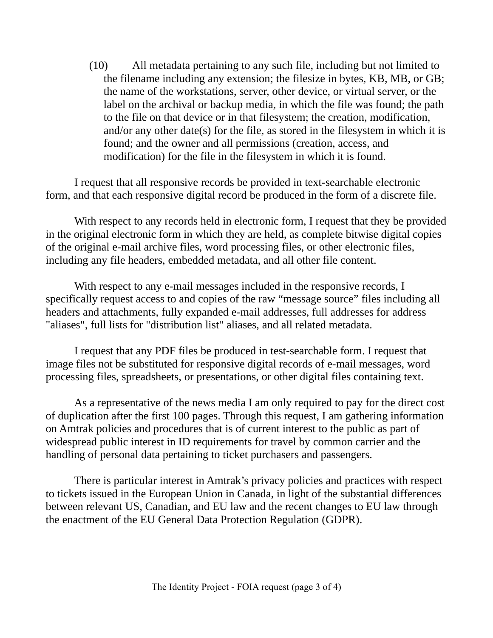(10) All metadata pertaining to any such file, including but not limited to the filename including any extension; the filesize in bytes, KB, MB, or GB; the name of the workstations, server, other device, or virtual server, or the label on the archival or backup media, in which the file was found; the path to the file on that device or in that filesystem; the creation, modification, and/or any other date(s) for the file, as stored in the filesystem in which it is found; and the owner and all permissions (creation, access, and modification) for the file in the filesystem in which it is found.

I request that all responsive records be provided in text-searchable electronic form, and that each responsive digital record be produced in the form of a discrete file.

With respect to any records held in electronic form, I request that they be provided in the original electronic form in which they are held, as complete bitwise digital copies of the original e-mail archive files, word processing files, or other electronic files, including any file headers, embedded metadata, and all other file content.

With respect to any e-mail messages included in the responsive records, I specifically request access to and copies of the raw "message source" files including all headers and attachments, fully expanded e-mail addresses, full addresses for address "aliases", full lists for "distribution list" aliases, and all related metadata.

I request that any PDF files be produced in test-searchable form. I request that image files not be substituted for responsive digital records of e-mail messages, word processing files, spreadsheets, or presentations, or other digital files containing text.

As a representative of the news media I am only required to pay for the direct cost of duplication after the first 100 pages. Through this request, I am gathering information on Amtrak policies and procedures that is of current interest to the public as part of widespread public interest in ID requirements for travel by common carrier and the handling of personal data pertaining to ticket purchasers and passengers.

There is particular interest in Amtrak's privacy policies and practices with respect to tickets issued in the European Union in Canada, in light of the substantial differences between relevant US, Canadian, and EU law and the recent changes to EU law through the enactment of the EU General Data Protection Regulation (GDPR).